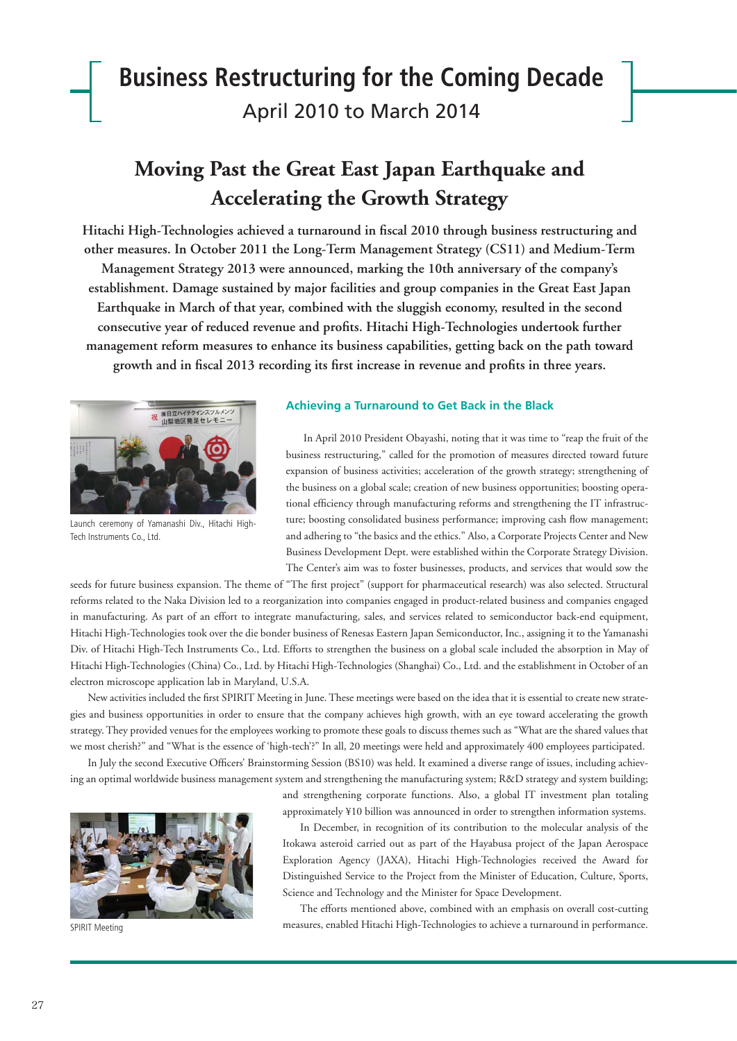# **Business Restructuring for the Coming Decade** April 2010 to March 2014

## **Moving Past the Great East Japan Earthquake and Accelerating the Growth Strategy**

Hitachi High-Technologies achieved a turnaround in fiscal 2010 through business restructuring and **other measures. In October 2011 the Long-Term Management Strategy (CS11) and Medium-Term Management Strategy 2013 were announced, marking the 10th anniversary of the company's establishment. Damage sustained by major facilities and group companies in the Great East Japan Earthquake in March of that year, combined with the sluggish economy, resulted in the second**  consecutive year of reduced revenue and profits. Hitachi High-Technologies undertook further **management reform measures to enhance its business capabilities, getting back on the path toward**  growth and in fiscal 2013 recording its first increase in revenue and profits in three years.



Launch ceremony of Yamanashi Div., Hitachi High-Tech Instruments Co., Ltd.

#### **Achieving a Turnaround to Get Back in the Black**

In April 2010 President Obayashi, noting that it was time to "reap the fruit of the business restructuring," called for the promotion of measures directed toward future expansion of business activities; acceleration of the growth strategy; strengthening of the business on a global scale; creation of new business opportunities; boosting operational efficiency through manufacturing reforms and strengthening the IT infrastructure; boosting consolidated business performance; improving cash flow management; and adhering to "the basics and the ethics." Also, a Corporate Projects Center and New Business Development Dept. were established within the Corporate Strategy Division. The Center's aim was to foster businesses, products, and services that would sow the

seeds for future business expansion. The theme of "The first project" (support for pharmaceutical research) was also selected. Structural reforms related to the Naka Division led to a reorganization into companies engaged in product-related business and companies engaged in manufacturing. As part of an effort to integrate manufacturing, sales, and services related to semiconductor back-end equipment, Hitachi High-Technologies took over the die bonder business of Renesas Eastern Japan Semiconductor, Inc., assigning it to the Yamanashi Div. of Hitachi High-Tech Instruments Co., Ltd. Efforts to strengthen the business on a global scale included the absorption in May of Hitachi High-Technologies (China) Co., Ltd. by Hitachi High-Technologies (Shanghai) Co., Ltd. and the establishment in October of an electron microscope application lab in Maryland, U.S.A.

New activities included the first SPIRIT Meeting in June. These meetings were based on the idea that it is essential to create new strategies and business opportunities in order to ensure that the company achieves high growth, with an eye toward accelerating the growth strategy. They provided venues for the employees working to promote these goals to discuss themes such as "What are the shared values that we most cherish?" and "What is the essence of 'high-tech'?" In all, 20 meetings were held and approximately 400 employees participated.

In July the second Executive Officers' Brainstorming Session (BS10) was held. It examined a diverse range of issues, including achieving an optimal worldwide business management system and strengthening the manufacturing system; R&D strategy and system building;

> and strengthening corporate functions. Also, a global IT investment plan totaling approximately ¥10 billion was announced in order to strengthen information systems.



SPIRIT Meeting

In December, in recognition of its contribution to the molecular analysis of the Itokawa asteroid carried out as part of the Hayabusa project of the Japan Aerospace Exploration Agency (JAXA), Hitachi High-Technologies received the Award for Distinguished Service to the Project from the Minister of Education, Culture, Sports, Science and Technology and the Minister for Space Development.

The efforts mentioned above, combined with an emphasis on overall cost-cutting measures, enabled Hitachi High-Technologies to achieve a turnaround in performance.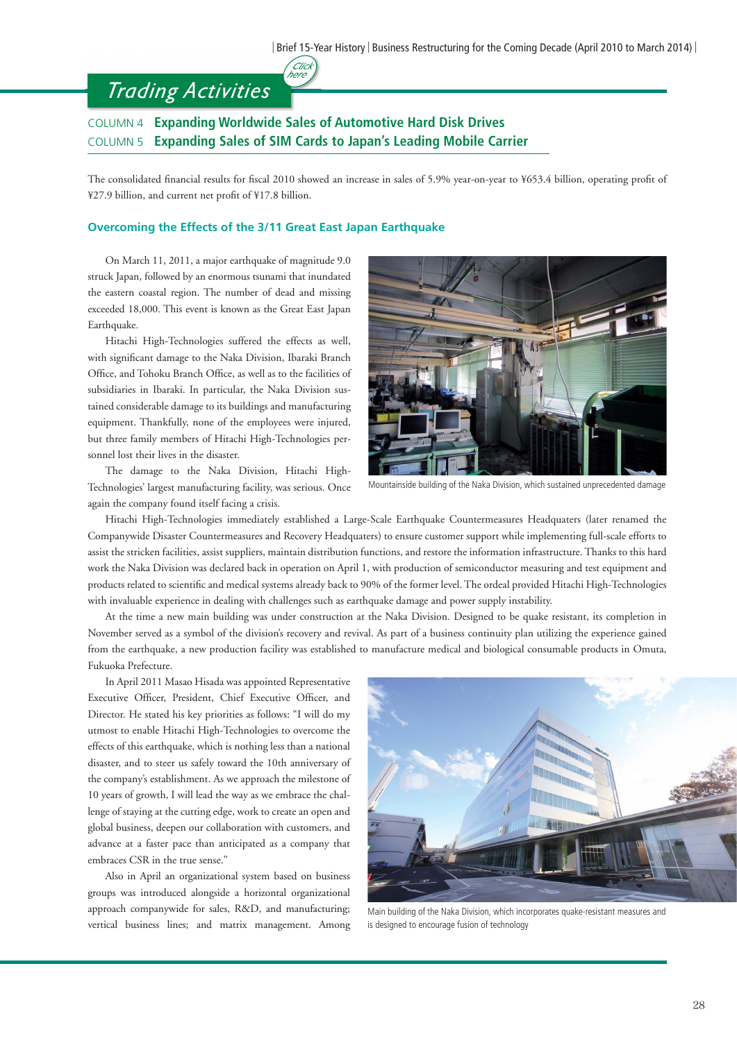## *Trading Activities*

### COLUMN 4 **Expanding Worldwide Sales of Automotive Hard Disk Drives** COLUMN 5 **Expanding Sales of SIM Cards to Japan's Leading Mobile Carrier**

(Click<br>here

The consolidated financial results for fiscal 2010 showed an increase in sales of 5.9% year-on-year to ¥653.4 billion, operating profit of ¥27.9 billion, and current net profit of ¥17.8 billion.

#### **Overcoming the Effects of the 3/11 Great East Japan Earthquake**

 On March 11, 2011, a major earthquake of magnitude 9.0 struck Japan, followed by an enormous tsunami that inundated the eastern coastal region. The number of dead and missing exceeded 18,000. This event is known as the Great East Japan Earthquake.

 Hitachi High-Technologies suffered the effects as well, with significant damage to the Naka Division, Ibaraki Branch Office, and Tohoku Branch Office, as well as to the facilities of subsidiaries in Ibaraki. In particular, the Naka Division sustained considerable damage to its buildings and manufacturing equipment. Thankfully, none of the employees were injured, but three family members of Hitachi High-Technologies personnel lost their lives in the disaster.

 The damage to the Naka Division, Hitachi High-Technologies' largest manufacturing facility, was serious. Once again the company found itself facing a crisis.



Mountainside building of the Naka Division, which sustained unprecedented damage

 Hitachi High-Technologies immediately established a Large-Scale Earthquake Countermeasures Headquaters (later renamed the Companywide Disaster Countermeasures and Recovery Headquaters) to ensure customer support while implementing full-scale efforts to assist the stricken facilities, assist suppliers, maintain distribution functions, and restore the information infrastructure. Thanks to this hard work the Naka Division was declared back in operation on April 1, with production of semiconductor measuring and test equipment and products related to scientifi c and medical systems already back to 90% of the former level. The ordeal provided Hitachi High-Technologies with invaluable experience in dealing with challenges such as earthquake damage and power supply instability.

 At the time a new main building was under construction at the Naka Division. Designed to be quake resistant, its completion in November served as a symbol of the division's recovery and revival. As part of a business continuity plan utilizing the experience gained from the earthquake, a new production facility was established to manufacture medical and biological consumable products in Omuta, Fukuoka Prefecture.

 In April 2011 Masao Hisada was appointed Representative Executive Officer, President, Chief Executive Officer, and Director. He stated his key priorities as follows: "I will do my utmost to enable Hitachi High-Technologies to overcome the effects of this earthquake, which is nothing less than a national disaster, and to steer us safely toward the 10th anniversary of the company's establishment. As we approach the milestone of 10 years of growth, I will lead the way as we embrace the challenge of staying at the cutting edge, work to create an open and global business, deepen our collaboration with customers, and advance at a faster pace than anticipated as a company that embraces CSR in the true sense."

 Also in April an organizational system based on business groups was introduced alongside a horizontal organizational approach companywide for sales, R&D, and manufacturing; vertical business lines; and matrix management. Among



Main building of the Naka Division, which incorporates quake-resistant measures and is designed to encourage fusion of technology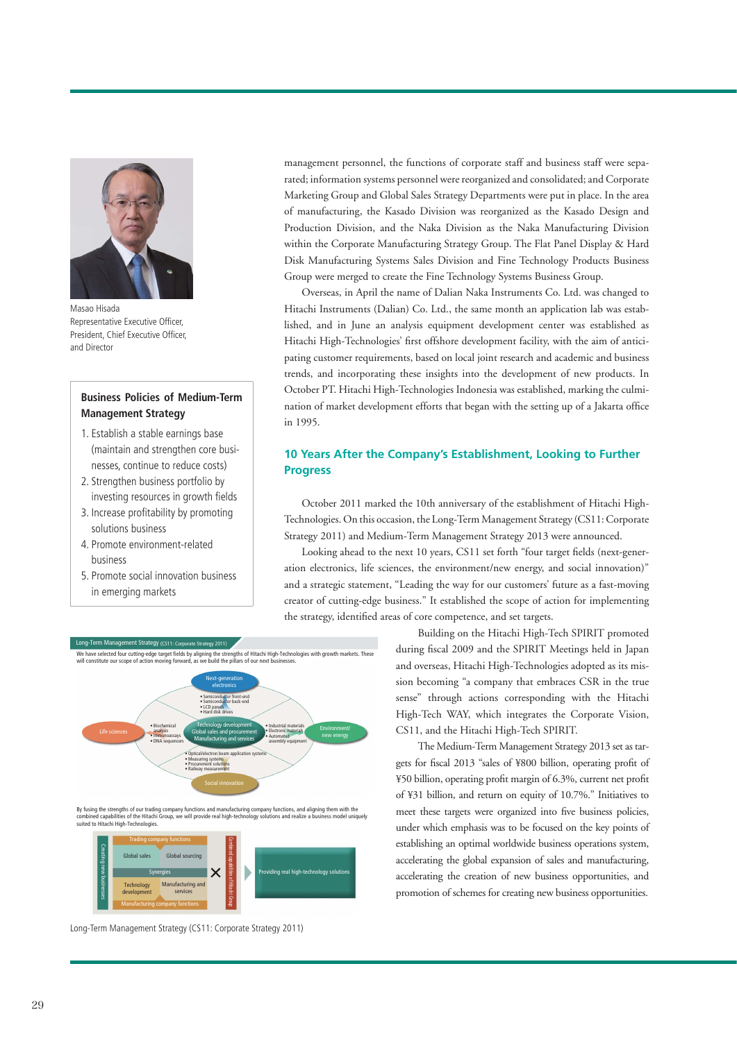

Masao Hisada Representative Executive Officer President, Chief Executive Officer, and Director

#### **Business Policies of Medium-Term Management Strategy**

- 1. Establish a stable earnings base (maintain and strengthen core businesses, continue to reduce costs)
- 2. Strengthen business portfolio by investing resources in growth fields
- 3. Increase profitability by promoting solutions business
- 4. Promote environment-related business
- 5. Promote social innovation business in emerging markets

management personnel, the functions of corporate staff and business staff were separated; information systems personnel were reorganized and consolidated; and Corporate Marketing Group and Global Sales Strategy Departments were put in place. In the area of manufacturing, the Kasado Division was reorganized as the Kasado Design and Production Division, and the Naka Division as the Naka Manufacturing Division within the Corporate Manufacturing Strategy Group. The Flat Panel Display & Hard Disk Manufacturing Systems Sales Division and Fine Technology Products Business Group were merged to create the Fine Technology Systems Business Group.

 Overseas, in April the name of Dalian Naka Instruments Co. Ltd. was changed to Hitachi Instruments (Dalian) Co. Ltd., the same month an application lab was established, and in June an analysis equipment development center was established as Hitachi High-Technologies' first offshore development facility, with the aim of anticipating customer requirements, based on local joint research and academic and business trends, and incorporating these insights into the development of new products. In October PT. Hitachi High-Technologies Indonesia was established, marking the culmination of market development efforts that began with the setting up of a Jakarta office in 1995.

#### **10 Years After the Company's Establishment, Looking to Further Progress**

 October 2011 marked the 10th anniversary of the establishment of Hitachi High-Technologies. On this occasion, the Long-Term Management Strategy (CS11: Corporate Strategy 2011) and Medium-Term Management Strategy 2013 were announced.

Looking ahead to the next 10 years, CS11 set forth "four target fields (next-generation electronics, life sciences, the environment/new energy, and social innovation)" and a strategic statement, "Leading the way for our customers' future as a fast-moving creator of cutting-edge business." It established the scope of action for implementing the strategy, identified areas of core competence, and set targets.





By fusing the strengths of our trading company functions and manufacturing company functions, and aligning them with the<br>combined capabilities of the Hitachi Group, we will provide real high-technology solutions and realiz



Long-Term Management Strategy (CS11: Corporate Strategy 2011)

 Building on the Hitachi High-Tech SPIRIT promoted during fiscal 2009 and the SPIRIT Meetings held in Japan and overseas, Hitachi High-Technologies adopted as its mission becoming "a company that embraces CSR in the true sense" through actions corresponding with the Hitachi High-Tech WAY, which integrates the Corporate Vision, CS11, and the Hitachi High-Tech SPIRIT.

 The Medium-Term Management Strategy 2013 set as targets for fiscal 2013 "sales of ¥800 billion, operating profit of ¥50 billion, operating profit margin of 6.3%, current net profit of ¥31 billion, and return on equity of 10.7%." Initiatives to meet these targets were organized into five business policies, under which emphasis was to be focused on the key points of establishing an optimal worldwide business operations system, accelerating the global expansion of sales and manufacturing, accelerating the creation of new business opportunities, and promotion of schemes for creating new business opportunities.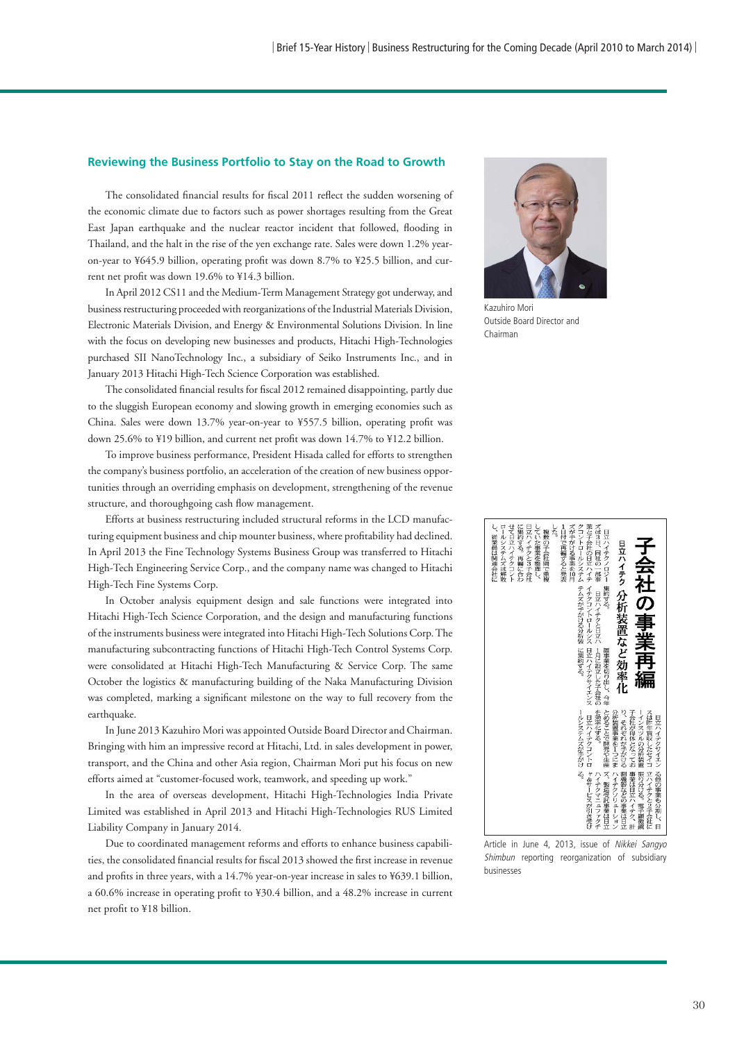#### **Reviewing the Business Portfolio to Stay on the Road to Growth**

The consolidated financial results for fiscal 2011 reflect the sudden worsening of the economic climate due to factors such as power shortages resulting from the Great East Japan earthquake and the nuclear reactor incident that followed, flooding in Thailand, and the halt in the rise of the yen exchange rate. Sales were down 1.2% yearon-year to ¥645.9 billion, operating profit was down 8.7% to ¥25.5 billion, and current net profit was down 19.6% to ¥14.3 billion.

 In April 2012 CS11 and the Medium-Term Management Strategy got underway, and business restructuring proceeded with reorganizations of the Industrial Materials Division, Electronic Materials Division, and Energy & Environmental Solutions Division. In line with the focus on developing new businesses and products, Hitachi High-Technologies purchased SII NanoTechnology Inc., a subsidiary of Seiko Instruments Inc., and in January 2013 Hitachi High-Tech Science Corporation was established.

The consolidated financial results for fiscal 2012 remained disappointing, partly due to the sluggish European economy and slowing growth in emerging economies such as China. Sales were down 13.7% year-on-year to ¥557.5 billion, operating profit was down 25.6% to ¥19 billion, and current net profit was down 14.7% to ¥12.2 billion.

 To improve business performance, President Hisada called for efforts to strengthen the company's business portfolio, an acceleration of the creation of new business opportunities through an overriding emphasis on development, strengthening of the revenue structure, and thoroughgoing cash flow management.

 Efforts at business restructuring included structural reforms in the LCD manufacturing equipment business and chip mounter business, where profitability had declined. In April 2013 the Fine Technology Systems Business Group was transferred to Hitachi High-Tech Engineering Service Corp., and the company name was changed to Hitachi High-Tech Fine Systems Corp.

 In October analysis equipment design and sale functions were integrated into Hitachi High-Tech Science Corporation, and the design and manufacturing functions of the instruments business were integrated into Hitachi High-Tech Solutions Corp. The manufacturing subcontracting functions of Hitachi High-Tech Control Systems Corp. were consolidated at Hitachi High-Tech Manufacturing & Service Corp. The same October the logistics & manufacturing building of the Naka Manufacturing Division was completed, marking a significant milestone on the way to full recovery from the earthquake.

 In June 2013 Kazuhiro Mori was appointed Outside Board Director and Chairman. Bringing with him an impressive record at Hitachi, Ltd. in sales development in power, transport, and the China and other Asia region, Chairman Mori put his focus on new efforts aimed at "customer-focused work, teamwork, and speeding up work."

 In the area of overseas development, Hitachi High-Technologies India Private Limited was established in April 2013 and Hitachi High-Technologies RUS Limited Liability Company in January 2014.

 Due to coordinated management reforms and efforts to enhance business capabilities, the consolidated financial results for fiscal 2013 showed the first increase in revenue and profits in three years, with a 14.7% year-on-year increase in sales to ¥639.1 billion, a 60.6% increase in operating profit to ¥30.4 billion, and a 48.2% increase in current net profit to ¥18 billion.



Kazuhiro Mori Outside Board Director and Chairman



Article in June 4, 2013, issue of Nikkei Sangyo Shimbun reporting reorganization of subsidiary businesses